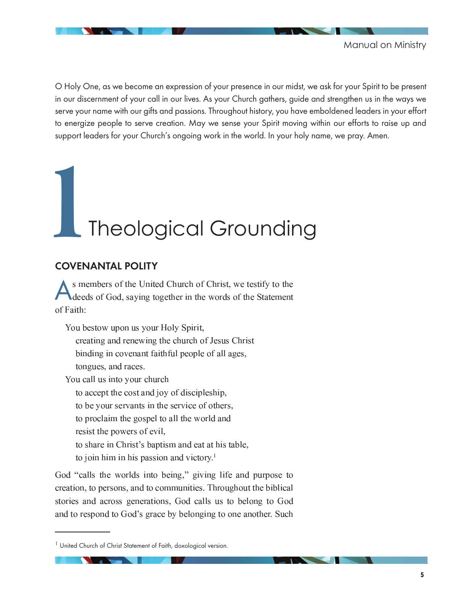

O Holy One, as we become an expression of your presence in our midst, we ask for your Spirit to be present in our discernment of your call in our lives. As your Church gathers, guide and strengthen us in the ways we serve your name with our gifts and passions. Throughout history, you have emboldened leaders in your effort to energize people to serve creation. May we sense your Spirit moving within our efforts to raise up and support leaders for your Church's ongoing work in the world. In your holy name, we pray. Amen.

# **1**Theological Grounding

# COVENANTAL POLITY

A a daandaha adaan ah mid ah ildad ah il isaad ah ah il isaad ah aan maraa madda maraa maraa mid mid m cionala askuliaci aarrusta kaankassus tira rrassaa akka hin kahassaans of Faith:

Van kasterruman na rienu Halv Culuit creating and renewing the church of Jesus Christ binding in covenant faithful people of all ages, tongues, and races. Van sall na inte-rienn skund

to accept the cost and joy of discipleship,

to be your servants in the service of others,

an sassonin ssaa alan monsanal an oli alan vyrossini osa

resist the powers of evil,

An also was used is weakin legaster was assed and at least thole in

 $\pm$  c  $\pm$  c  $\pm$  c  $\pm$  . The set of  $\pm$  c  $\pm$  c  $\pm$  c  $\pm$  c  $\pm$  c  $\pm$  c  $\pm$  c  $\pm$  c  $\pm$  c  $\pm$  c  $\pm$  c  $\pm$  c  $\pm$  c  $\pm$  c  $\pm$  c  $\pm$  c  $\pm$  c  $\pm$  c  $\pm$  c  $\pm$  c  $\pm$  c  $\pm$  c  $\pm$  c  $\pm$  c  $\pm$  c  $\pm$  c

God "calls the worlds into being," giving life and purpose to  $\sim$  . A second to a second second and a second second to a second second second second second second second second second second second second second second second second second second second second second second second stories and across generations, God calls us to belong to God and to respond to God's grace by belonging to one another. Such

<sup>&</sup>lt;sup>1</sup> United Church of Christ Statement of Faith, doxological version.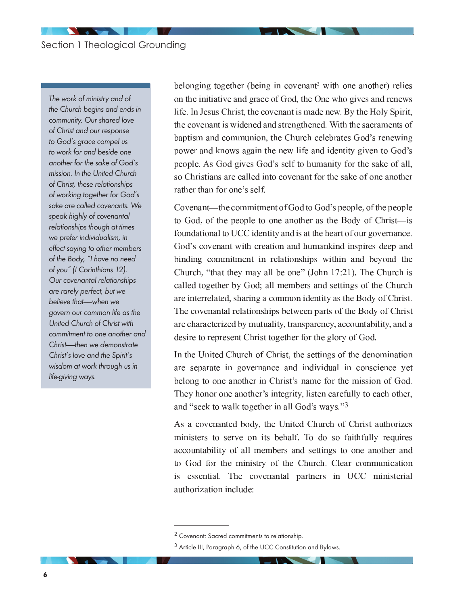The work of ministry and of the Church begins and ends in community. Our shared love of Christ and our response to God's grace compel us to work for and beside one another for the sake of God's mission. In the United Church of Christ, these relationships of working together for God's sake are called covenants. We speak highly of covenantal relationships though at times we prefer individualism, in effect saying to other members of the Body, "I have no need of you" (I Corinthians 12). Our covenantal relationships are rarely perfect, but we believe that—when we govern our common life as the United Church of Christ with commitment to one another and Christ——then we demonstrate Christ's love and the Spirit's wisdom at work through us in life-giving ways.

belonging together (being in covenant<sup>2</sup> with one another) relies on the initiative and grace of God, the One who gives and renews  ,   - -   . In a contract case in 1714 of case of case of celebration of a contract and concern contract of contract  $\alpha$ مددد حدد مدهد بن اصطفاده المتواجب الصحيحين المتوازر مدين مدد مدد مدد من اصطفاده مدد المتوازر المتوازر power and knows again the new life and identity given to God's as o casio illo di carro di o dicio dalla facile rassociative da sella colvo o di oll so Christians are called into covenant for the sake of one another rather than for one's self.

i arrama anko shia a ganama shekar a kilig alƙa i a girama gan ta shekar an gunt to God, of the people to one another as the Body of Christ—is i o olío o ozrovaoval zzrukla ovao okrova ovaolilazzvao ovaluvea olivenskeho olo ova ova ova الطاحة المتحدة المحدد من المتحدة وتحدد المناطق المتحدد عن المتحدة المتحدة والمتحددة المتحدة المتحدة  $\mathcal{S}$  . In this case the contract of the contract of the contract of the contract of the contract of the contract of oollool soo saska osa layt fi oolloollisee osaale osaa osaal ooskassa osa osa silaa filentsaa تغيير القصاد المقادم المناصر المتواصد من من المتوجد المستخدمات المقدار المتوجب المتوجب المتوجب The covenantal relationships between parts of the Body of Christ Gaso Glagaso Ghoasta Glazzastini dhe shkot hagasa gaso sa Gazi Googlasho la Jahri Gasol desire to represent Christ together for the glory of God.

isa muan isasan a ilayyaana amii waanni muan aamasana amiina aanaanaanaana a are separate in governance and individual in conscience yet lao io 440 osao osao ilao 440 suuri (waan in aansaa a siosa ilao saasoososa osi io ol They honor one another's integrity, listen carefully to each other, and "seek to walk together in all God's ways." $3$ 

 $\alpha$  o optimization is a drive in the store international contribution of  $\alpha$ -    &  <sup>8</sup>   - -  حداث من المصدق الصحيح الصحيح المستقل الصحيح المستقل المستقل الصحيح المصاري الصحيح المصاري الصحيح الصحيح الصحيح  $\mathcal{L} \cap \mathcal{L} \cap \mathcal{L} \cap \mathcal{L} \cap \mathcal{L} \cap \mathcal{L} \cap \mathcal{L} \cap \mathcal{L} \cap \mathcal{L} \cap \mathcal{L} \cap \mathcal{L} \cap \mathcal{L} \cap \mathcal{L} \cap \mathcal{L} \cap \mathcal{L} \cap \mathcal{L} \cap \mathcal{L} \cap \mathcal{L} \cap \mathcal{L} \cap \mathcal{L} \cap \mathcal{L} \cap \mathcal{L} \cap \mathcal{L} \cap \mathcal{L} \cap \mathcal{L} \cap \mathcal{L} \cap \mathcal{L} \cap \mathcal{$ authorization include:

<sup>2</sup> Covenant: Sacred commitments to relationship.

<sup>&</sup>lt;sup>3</sup> Article III, Paragraph 6, of the UCC Constitution and Bylaws.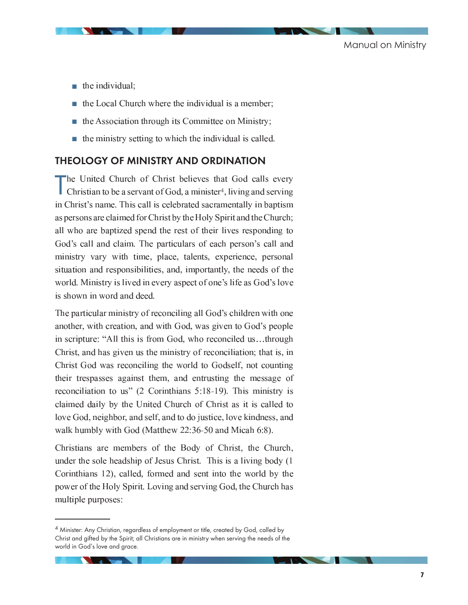- $\blacksquare$  the individual
- $\blacksquare$  the Local Church where the individual is a member
- $\blacksquare$  the Association through its Committee on Ministry
- $\blacksquare$  the ministry setting to which the individual is called

# THEOLOGY OF MINISTRY AND ORDINATION

T تعججه والموالدة المطلوب ومتحوماتها فويعدنا والمعاراة والمعتدا المواقعات والمناسب i la secolulo se filo la olon o organizo se filo oli o secolulo selli lavrase oli organizati s  $\mathcal{A}$  is a constraint  $\mathcal{A}$  . In a contract and a constraint  $\mathcal{A}$  and  $\mathcal{A}$  and  $\mathcal{A}$  is a constant oo aa oaan oaan olo aaaan dalacaal laas oo lay talan II olyn kaasaa oaan dalan Jirayaan la all who are baptized spend the rest of their lives responding to  $\,$  0.0  $\,$  0.0  $\,$  0.1  $\,$  0.1  $\,$  0.1  $\,$  0.1  $\,$  0.1  $\,$  0.1  $\,$  0.1  $\,$  0.1  $\,$  0.1  $\,$  0.1  $\,$  0.1  $\,$  0.1  $\,$  0.1  $\,$  0.1  $\,$  0.1  $\,$  0.1  $\,$  0.1  $\,$  0.1  $\,$  0.1  $\,$  0.1  $\,$  0.1  $\,$  0.1  $\,$  -     - <sup>=</sup> world. Ministry is lived in every aspect of one's life as God's love is shown in word and deed.

 $\Box$  . A second of the second second  $\Box$  . The second second  $\Box$  is the second of  $\Box$  . The second of  $\Box$  is the second of  $\Box$ another, with creation, and with God, was given to God's people حدد العامل العالم المصري صديق صدار المصاحب المصدي المناطق التاريخ المنتظر المنت  $\epsilon$  is an our contract of the contract of the state of the state of the contract of the state of the state of the state of the state of the state of the state of the state of the state of the state of the state of the st Christ God was reconciling the world to Godself, not counting ه محصوصة فيه العاملية المتوسطين المتحدة المتحدة المتحدة وصورته والعاملية المتحدة والعاملية  $\mathcal{A} \cap \mathcal{A}$  . A constraint and  $\mathcal{A} \cap \mathcal{A}$  is a constraint and  $\mathcal{A} \cap \mathcal{A}$  . It is a constraint and  $\mathcal{A} \cap \mathcal{A}$ والصحالحين وبالعميد وحيدته فاستنقح والمتحول المعاونين المفافح تعوارها ومعونيها والمحادث love God, neighbor, and self, and to do justice, love kindness, and / -  ( ; <sup>4</sup> <sup>4</sup> <sup>C</sup> <sup>D</sup> <sup>A</sup> ? <sup>E</sup> ;  <sup>D</sup> @ \*

i la sa chanan na caona sa la caona cha da caoista cha i la sa cha da caois an la taobh under the sole headship of Jesus Christ. This is a living body  $(1)$ a canada a cado i li collogi domando da condo a cado a dico da contra alla lette da power of the Holy Spirit. Loving and serving God, the Church has - 

<sup>&</sup>lt;sup>4</sup> Minister: Any Christian, regardless of employment or title, created by God, called by Christ and gifted by the Spirit; all Christians are in ministry when serving the needs of the world in God's love and grace.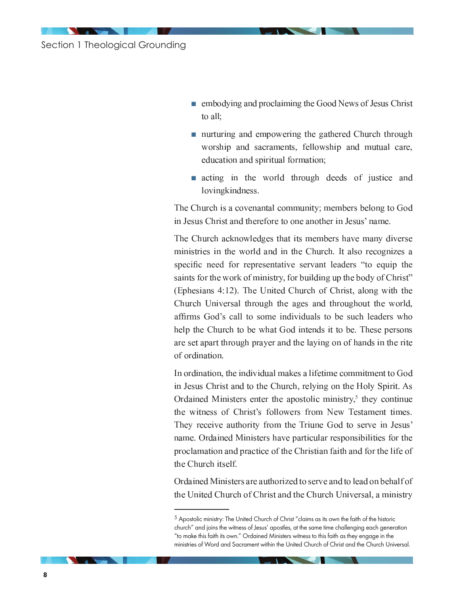- $\blacksquare$  embodying and proclaiming the Good News of Jesus Christ to all:
- nurturing and empowering the gathered Church through worship and sacraments, fellowship and mutual care, education and spiritual formation;
- acting in the world through deeds of justice and lovingkindness.

The Church is a covenantal community; members belong to God in Jesus Christ and therefore to one another in Jesus' name.

The Church acknowledges that its members have many diverse ministries in the world and in the Church. It also recognizes a specific need for representative servant leaders "to equip the saints for the work of ministry, for building up the body of Christ" (Ephesians 4:12). The United Church of Christ, along with the Church Universal through the ages and throughout the world, affirms God's call to some individuals to be such leaders who help the Church to be what God intends it to be. These persons are set apart through prayer and the laying on of hands in the rite of ordination.

In ordination, the individual makes a lifetime commitment to God in Jesus Christ and to the Church, relying on the Holy Spirit. As Ordained Ministers enter the apostolic ministry, $5$  they continue the witness of Christ's followers from New Testament times. They receive authority from the Triune God to serve in Jesus' name. Ordained Ministers have particular responsibilities for the proclamation and practice of the Christian faith and for the life of the Church itself.

Ordained Ministers are authorized to serve and to lead on behalf of the United Church of Christ and the Church Universal, a ministry

<sup>&</sup>lt;sup>5</sup> Apostolic ministry: The United Church of Christ "claims as its own the faith of the historic church" and joins the witness of Jesus' apostles, at the same time challenging each generation "to make this faith its own." Ordained Ministers witness to this faith as they engage in the ministries of Word and Sacrament within the United Church of Christ and the Church Universal.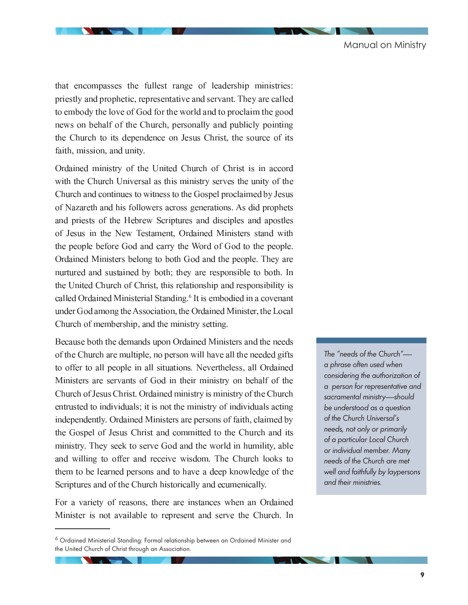$\alpha$  . As a consider  $\alpha$  and  $\alpha$  . As the contract  $\alpha$  and  $\alpha$  and  $\alpha$  and  $\alpha$  and  $\alpha$  and  $\alpha$  and  $\alpha$  and  $\alpha$ priestly and prophetic, representative and servant. They are called -  news on behalf of the Church, personally and publicly pointing the Church to its dependence on Jesus Christ, the source of its  -   

مصري و مساحد المتابع المسلسلين والمتحدث المعلومين المنافسات التحديد ومتحدد المصدود المتحدة المنافسة rredula dela cul languacia il legun concerto cultura essegundante con estro cultura nova elerricola della  $\sim$  143344014 0.4401 0.0445443300 80.3755544000 80.800 8140.1 0.04401 444400 10.444400 1433 10033 of Nazareth and his followers across generations. As did prophets and priests of the Hebrew Scriptures and disciples and apostles G DA LAGUIG 144 BIAG BIGTY LOGROPAAG 144 LINGGO144 G DI BIL144 JAROJA JAGIA DA TYLE the people before God and carry the Word of God to the people. Ordained Ministers belong to both God and the people. They are nurtured and sustained by both; they are responsible to both. In د تورانا المقادم من المحمد المدينة المناطقة المحمد المدينة العامدية الشحيحة المدينة المحمدة المحمد ا موجود محمد محمد العصواء صناعته القاضية موجود الصندية والمتحدة القادمة موجود المواطن العصادة المحالصة - <sup>0</sup> <sup>+</sup>  ;   :  $\blacksquare$  . In the case of the contract of the contract of the contract of contract  $\sim$ 

iio oostaa laaska siaa alaasaa ala ttean aa ii kaala usaa ali hii usaanka waa aa alikiia waa aal . A mara sa katika la Gira inatti mini a la la da ang Gira tra la Granda (la mara ing Gira di Giramo to offer to all people in all situations. Nevertheless, all Ordained عالجات على المناسخة المدين ومعاملات المدين والمتحدد المناسخة المدين المعاملات المدين المدين المدين المدين المد  $\pm$  . In this case, a contract the second construction of the construction of the contract of  $\pm$  1970s and  $\pm$ consident about the searchtreaters of the search than seasce sature and searchtreaters of a consideration of t بوا است موسود عليه المتحدة الشديد ومنتج معامل المتحدة المتحدة المتحدة المتحدة المتحدة المتحدة المتحدة alah 1 hadaa 1 hadi 1 hadda 1 jaamaa 100 Android ahaa 100 Android 100 Android 100 Android 100 Android 100 Andr المات تتخطئ المتحدة المناسبات المتحدة من العامل الصحيح الصحيحين العامل التحديد والمناسبة المتحدة المتحدة الصحاحة المتحددات الصحيحة المتحدد وتحدد ومحدد المتحدد والشرائع والمتحدد المتحدد  $\mathbb{P}^1$  and  $\mathbb{P}^1$  is a land and the second and an international contract and an international and  $\mathbb{P}^1$ h casacharasaca casal cabible a filerrascie is schoass collet casal corrassociative

For a variety of reasons, there are instances when an Ordained Minister is not available to represent and serve the Church. In

The "needs of the Church"— a phrase often used when considering the authorization of a person for representative and sacramental ministry-should be understood as a question of the Church Universal's needs, not only or primarily of a particular Local Church or individual member. Many needs of the Church are met well and faithfully by laypersons and their ministries.

<sup>&</sup>lt;sup>6</sup> Ordained Ministerial Standing: Formal relationship between an Ordained Minister and the United Church of Christ through an Association.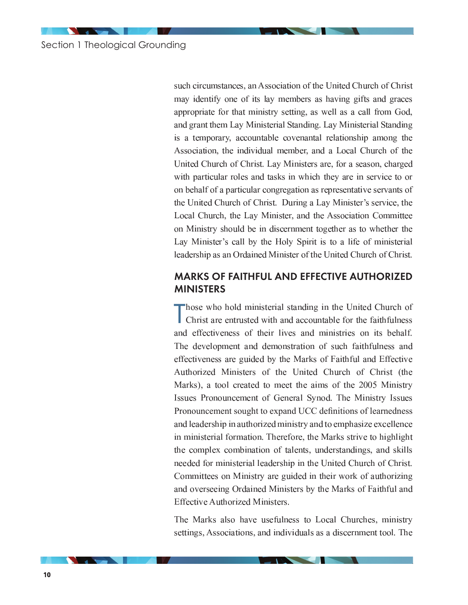such circumstances, an Association of the United Church of Christ may identify one of its lay members as having gifts and graces appropriate for that ministry setting, as well as a call from God, and grant them Lay Ministerial Standing. Lay Ministerial Standing is a temporary, accountable covenantal relationship among the Association, the individual member, and a Local Church of the United Church of Christ. Lay Ministers are, for a season, charged with particular roles and tasks in which they are in service to or on behalf of a particular congregation as representative servants of the United Church of Christ. During a Lay Minister's service, the Local Church, the Lay Minister, and the Association Committee on Ministry should be in discernment together as to whether the Lay Minister's call by the Holy Spirit is to a life of ministerial leadership as an Ordained Minister of the United Church of Christ.

# **MARKS OF FAITHFUL AND EFFECTIVE AUTHORIZED MINISTERS**

Those who hold ministerial standing in the United Church of Christ are entrusted with and accountable for the faithfulness and effectiveness of their lives and ministries on its behalf. The development and demonstration of such faithfulness and effectiveness are guided by the Marks of Faithful and Effective Authorized Ministers of the United Church of Christ (the Marks), a tool created to meet the aims of the 2005 Ministry Issues Pronouncement of General Synod. The Ministry Issues Pronouncement sought to expand UCC definitions of learnedness and leadership in authorized ministry and to emphasize excellence in ministerial formation. Therefore, the Marks strive to highlight the complex combination of talents, understandings, and skills needed for ministerial leadership in the United Church of Christ. Committees on Ministry are guided in their work of authorizing and overseeing Ordained Ministers by the Marks of Faithful and **Effective Authorized Ministers.** 

The Marks also have usefulness to Local Churches, ministry settings, Associations, and individuals as a discernment tool. The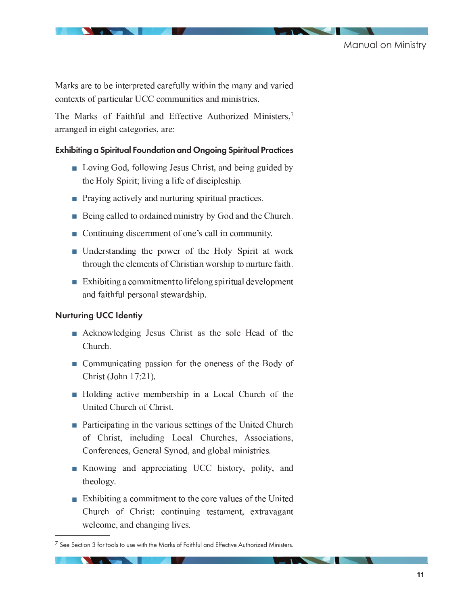$\alpha$  a contract contact the construction of the contract of the contract contact contact of  $\alpha$  and  $\alpha$  and  $\alpha$ <sup>=</sup>  - -   -   

The Marks of Faithful and Effective Authorized Ministers,<sup>7</sup> arranged in eight categories, are:

## Exhibiting a Spiritual Foundation and Ongoing Spiritual Practices

- $\blacksquare$  Loving God, following Jesus Christ, and being guided b the Holy Spirit; living a life of discipleship.
- **Praying actively and nurturing spiritual practices**
- $\blacksquare$  Being called to ordained ministry by God and the Church
- $\blacksquare$  Continuing discernment of one's call in community
- $\blacksquare$  Understanding the power of the Holy Spirit at wor الطرحية حددته واستحدرته والمتحاولات وتحريف والمتحال الشحاحة والمحاجب وحاجرت والمالي والحرجون
- $\blacksquare$  Exhibiting a commitment to lifelong spiritual developmen and faithful personal stewardship.

## Nurturing UCC Identiy

- $\blacksquare$  Acknowledging Jesus Christ as the sole Head of th Church.
- $\blacksquare$  Communicating passion for the oneness of the Body o Christ (John 17:21).
- $\blacksquare$  Holding active membership in a Local Church of the والمتحدد والشحاح واحتجما التصحيحات
- $\blacksquare$  Participating in the various settings of the United Churc. of Christ, including Local Churches, Associations, i cashcascas coc i cascasci kyras col casol cicle ciasa assambas co
- **K** Knowing and appreciating UCC history, polity, an theology.
- $\blacksquare$  Exhibiting a commitment to the core values of the Unite    - <sup>=</sup> -

 $^7$  See Section 3 for tools to use with the Marks of Faithful and Effective Authorized Ministers.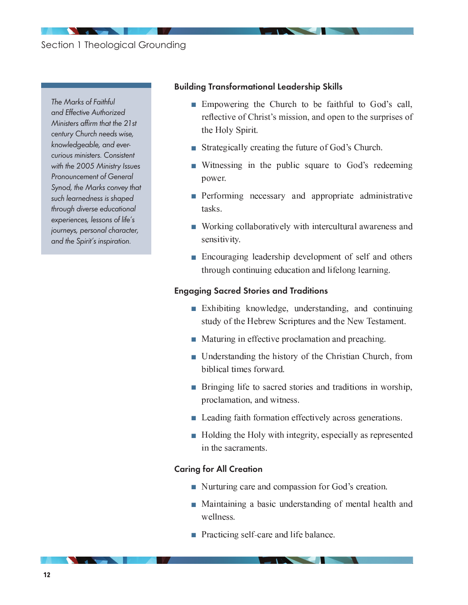# Section 1 Theological Grounding

The Marks of Faithful and Effective Authorized Ministers affirm that the 21st century Church needs wise, knowledgeable, and evercurious ministers. Consistent with the 2005 Ministry Issues Pronouncement of General Synod, the Marks convey that such learnedness is shaped through diverse educational experiences, lessons of life's journeys, personal character, and the Spirit's inspiration.

#### Building Transformational Leadership Skills

- $\blacksquare$  Empowering the Church to be faithful to God's call reflective of Christ's mission, and open to the surprises of the Holy Spirit.
- $\blacksquare$  Strategically creating the future of God's Church
- $\blacksquare$  Witnessing in the public square to God's redeemin power.
- $\blacksquare$  Performing necessary and appropriate administrativ tasks.
- $\blacksquare$  Working collaboratively with intercultural awareness an sensitivity.
- $\blacksquare$  Encouraging leadership development of self and other through continuing education and lifelong learning.

#### Engaging Sacred Stories and Traditions

- $\blacksquare$  Exhibiting knowledge, understanding, and continuin <sup>G</sup> & -
- $\blacksquare$  Maturing in effective proclamation and preaching
- $\blacksquare$  Understanding the history of the Christian Church, from    -
- **Bringing life to sacred stories and traditions in worship** -
- $\blacksquare$  Leading faith formation effectively across generations
- $\blacksquare$  Holding the Holy with integrity, especially as represente  $-1.4$   $-1.4$   $-1.4$   $-1.4$   $-1.4$   $-1.4$   $-1.4$   $-1.4$   $-1.4$   $-1.4$   $-1.4$   $-1.4$   $-1.4$   $-1.4$   $-1.4$   $-1.4$   $-1.4$   $-1.4$   $-1.4$   $-1.4$   $-1.4$   $-1.4$   $-1.4$   $-1.4$   $-1.4$   $-1.4$   $-1.4$   $-1.4$   $-1.4$   $-1.4$   $-1.4$   $-1.$

#### Caring for All Creation

- $\blacksquare$  Nurturing care and compassion for God's creation
- $\blacksquare$  Maintaining a basic understanding of mental health an wellness.
- $\blacksquare$  Practicing self-care and life balance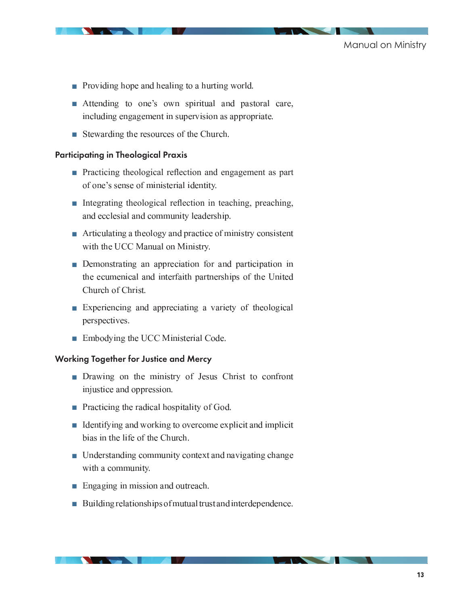

- **Providing hope and healing to a hurting world**
- $\blacksquare$  Attending to one's own spiritual and pastoral care   -
- $\blacksquare$  Stewarding the resources of the Church

#### Participating in Theological Praxis

- **Practicing theological reflection and engagement as part** o da o sego o o o sego o da segunda o das o la olosada de t
- $\blacksquare$  Integrating theological reflection in teaching, preaching, asa dagaalada ah aad agaan waxaa dagaala wala saa la dagaa
- $\blacksquare$  Articulating a theology and practice of ministry consisten  ; ;
- $\blacksquare$  Demonstrating an appreciation for and participation  $\blacksquare$ حقوقا ومفاقصات ومعدما ومعارضه والجرمية المتحافظ والمحافظ والمحافظ ومحتمده والمحافظ Church of Christ.
- $\blacksquare$  Experiencing and appreciating a variety of theologica perspectives.
- $\blacksquare$  Embodying the UCC Ministerial Code

#### Working Together for Justice and Mercy

- $\blacksquare$  Drawing on the ministry of Jesus Christ to confron injustice and oppression.
- $\blacksquare$  Practicing the radical hospitality of God
- $\blacksquare$  Identifying and working to overcome explicit and implici bias in the life of the Church.
- $\blacksquare$  Understanding community context and navigating chang  - -
- $\blacksquare$  Engaging in mission and outreach
- $\blacksquare$  Building relationships of mutual trust and interdependence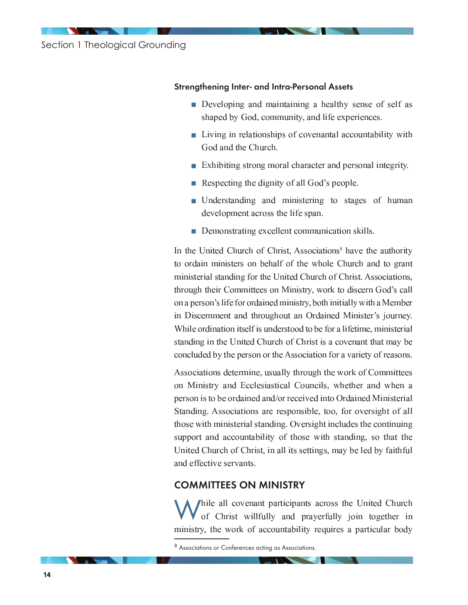Section 1 Theological Grounding

#### Strengthening Inter- and Intra-Personal Assets

- $\blacksquare$  Developing and maintaining a healthy sense of self a  $\alpha$  is o the state in the consequence in the contraction of the contraction of  $\alpha$
- Living in relationships of covenantal accountability wit God and the Church.
- $\blacksquare$  Exhibiting strong moral character and personal integrity
- $\blacksquare$  Respecting the dignity of all God's people
- $\blacksquare$  Understanding and ministering to stages of huma  $\alpha$
- $\blacksquare$  Demonstrating excellent communication skills

عادة العملية وتتحدد المتحدة المتحددة المتحدة المتحددة المتحدة المناسبة المتحدة المتحدة TO OMMOJIA IAAJIAJOTOMO OJA IAOIAOIT OT TIAO ITIIAOIO I IA11MOIA OJAOI TO OMOJA assasshe association and association in last to oliginate the column in the contract of a constant of the column  - -  ;   /  "  $\sim$  14.  $\sim$  14.  $\sim$  14.  $\sim$  14.  $\sim$  14.  $\sim$  14.  $\sim$  14.  $\sim$  14.  $\sim$  14.  $\sim$  14.  $\sim$  14.  $\sim$  14.  $\sim$  14.  $\sim$  14.  $\sim$  14.  $\sim$  14.  $\sim$  14.  $\sim$  14.  $\sim$  14.  $\sim$  14.  $\sim$  14.  $\sim$  14.  $\sim$  14.  $\sim$  14.  $\sim$  و مستحدة بالمتوافق المتوافق المتوافقة المتوافقة المتوافق المتوافق المتوافق المتوافق المتوافق المتوافق المتوافق .        - -     $\alpha$  and  $\alpha$  and the  $\alpha$  is interested in the control  $\alpha$  is the  $\alpha$  in  $\alpha$  in  $\alpha$  in  $\alpha$  and  $\alpha$  in  $\alpha$  in  $\alpha$  in  $\alpha$  in  $\alpha$  in  $\alpha$  in  $\alpha$  in  $\alpha$  in  $\alpha$  in  $\alpha$  in  $\alpha$  in  $\alpha$  in  $\alpha$  in  $\alpha$  in  $\alpha$  in concluded by the person or the Association for a variety of reasons.

 $\alpha$  as a sequence of the sequence of the section of the sequence of the sequence of the sequence of  $\alpha$ on Ministry and Ecclesiastical Councils, whether and when a person is to be ordained and/or received into Ordained Ministerial Standing. Associations are responsible, too, for oversight of all dia o o o xxxadia assasacho assol odioas olassos. I brrossos oladi sasolaa olagido dila o o ossissaarsas. support and accountability of those with standing, so that the  $-$  . The second contract the contract of the second contract of the contract of the contract of the contract of the contract of the contract of the contract of the contract of the contract of the contract of the contract and effective servants.

# COMMITTEES ON MINISTRY

W ومدحجلا المصطنطا والماه وصوموه ومخموم والمتصدق والمتصوح وحرموا المادما of Christ willfully and prayerfully join together in اصم المصادر والمدموسين المصدومين والمتواصل المناصب والمصادر المستخدم المناسب والمستخدمة

<sup>8</sup> Associations or Conferences acting as Associations.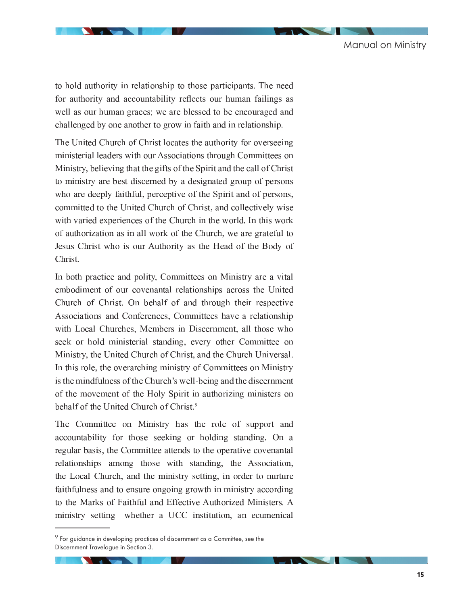to hold authority in relationship to those participants. The need for authority and accountability reflects our human failings as - <sup>5</sup> challenged by one another to grow in faith and in relationship.

ilan ilaaskan iliattaala oskul jaastakin ookon sian otteisin saskat sinas ottoanoo saa -     <sup>0</sup>   - -  Ministry, believing that the gifts of the Spirit and the call of Christ متصومون والمتحدث والمتحدث المصادمات والمتحال والمتحدث والمتحدث والمتحدث والمتحدث والمتحدث والمتحدث who are deeply faithful, perceptive of the Spirit and of persons, oossassastin oliko ikko lisastooli jaarssoja oskil jassottu osa oli oolloottavat varso with varied experiences of the Church in the world. In this work of authorization as in all work of the Church, we are grateful to Jesus Christ who is our Authority as the Head of the Body of Christ.

isa la cela sasaccestro chan sacciente a csaasaasem con csa linisassoment csacco tranco حافظتها ومواجعات وموجع وموجود والمقرر المقدم ومعتمره ومعتمد بقصاده وموزوده والمورم Church of Christ. On behalf of and through their respective  $\alpha$  aaan amaan amaan amaanaan ah amaanaan ah arra a malamaan ah rrubia i oool i jarraanjaoo. Nilosaajaosan jaa likoonsaasaan osab oli biaooo rrub حصر المستخدم الصحيح المتوسس المتحدة المتحدة المتحدة المتحدة الملحة المتحدة المتحدة المتحدة  $\alpha$  and all the state of the state of the state of the state of the state of the state of the state of the state of the state of the state of the state of the state of the state of the state of the state of the state of is the contract of the original contract of  $\mathcal{A}$  , the context of the contract of the contract  $\mathcal{A}$  is the contract of the contract of the contract of the contract of the contract of the contract of the contract o an this o see see older lee on o out this of legres ole in vyroll le o see ou ose of this o ols o o ossesse ose  $\alpha$  as a construction of the set of  $\alpha$  . In the contract of  $\alpha$  is a contract of the set of  $\alpha$  and  $\alpha$ is o le o lete o de dels o lives de l'intersetoire o de l'insertade.

لمده العديد والصحيح الصحيح الملك المعامل المعدية التاريخ الصحيح الصحيح الصحيح الصحيح المعال accountability for those seeking or holding standing. On a  - -   سم من المصدر المقاصد المصدر المن المسلم المصدر المصدر المصدر المصدر المصدر  $\cdots$  . A collision of the contract of the collection of the collection of the collection of  $\cdots$ المتراصد والمتحول والمتواطن ومترجعة والمتحولة وسيمت والمتحدد والمتحدد والمحتمد والمحتمد والمتحول والمتحافظة to the Marks of Faithful and Effective Authorized Ministers. A . A second and the second and  $\alpha$  is the second and  $\alpha$  and  $\alpha$  and  $\alpha$  and  $\alpha$ 

 $9$  For guidance in developing practices of discernment as a Committee, see the Discernment Travelogue in Section 3.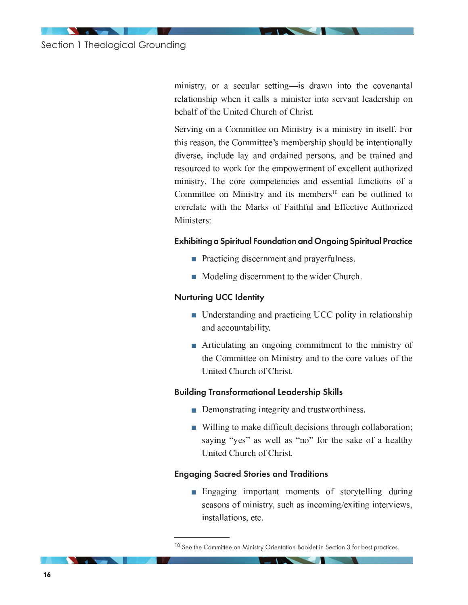ministry, or a secular setting-is drawn into the covenantal relationship when it calls a minister into servant leadership on behalf of the United Church of Christ.

Serving on a Committee on Ministry is a ministry in itself. For this reason, the Committee's membership should be intentionally diverse, include lay and ordained persons, and be trained and resourced to work for the empowerment of excellent authorized ministry. The core competencies and essential functions of a Committee on Ministry and its members<sup>10</sup> can be outlined to correlate with the Marks of Faithful and Effective Authorized Ministers<sup>.</sup>

#### **Exhibiting a Spiritual Foundation and Ongoing Spiritual Practice**

- Practicing discernment and prayerfulness.
- Modeling discernment to the wider Church.

#### **Nurturing UCC Identity**

- Understanding and practicing UCC polity in relationship and accountability.
- $\blacksquare$  Articulating an ongoing commitment to the ministry of the Committee on Ministry and to the core values of the United Church of Christ

#### **Building Transformational Leadership Skills**

- Demonstrating integrity and trustworthiness.
- Willing to make difficult decisions through collaboration; saying "yes" as well as "no" for the sake of a healthy United Church of Christ.

#### **Engaging Sacred Stories and Traditions**

**Engaging important moments of storytelling during** seasons of ministry, such as incoming/exiting interviews, installations, etc.

<sup>&</sup>lt;sup>10</sup> See the Committee on Ministry Orientation Booklet in Section 3 for best practices.